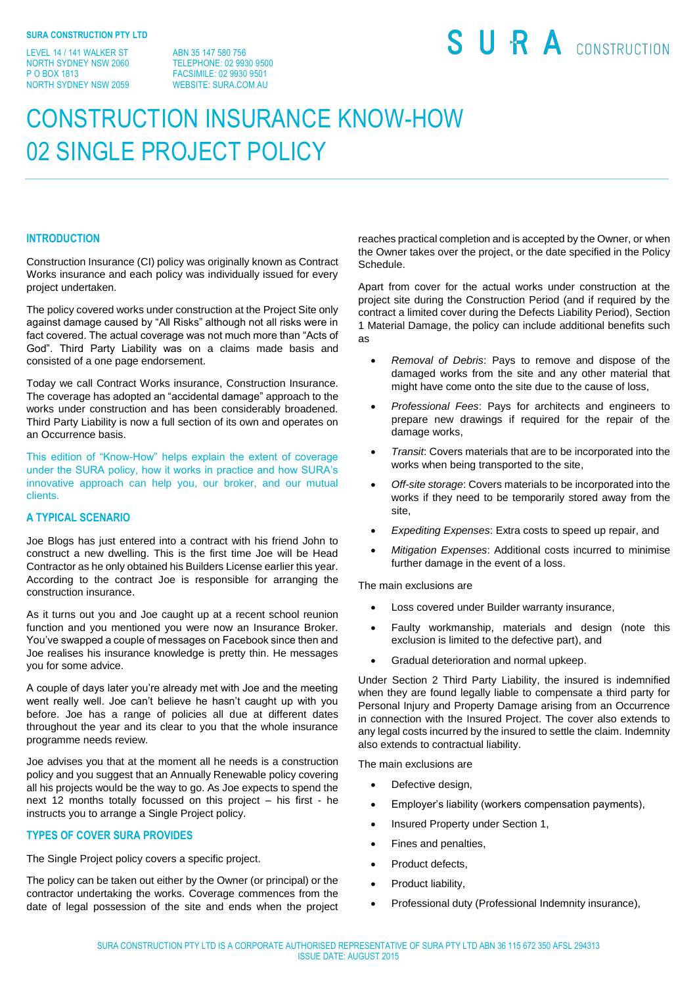LEVEL 14 / 141 WALKER ST NORTH SYDNEY NSW 2060 P O BOX 1813 NORTH SYDNEY NSW 2059

ABN 35 147 580 756 TELEPHONE: 02 9930 9500 FACSIMILE: 02 9930 9501 WEBSITE: SURA COM AU

# SURA CONSTRUCTION

# CONSTRUCTION INSURANCE KNOW-HOW 02 SINGLE PROJECT POLICY

# **INTRODUCTION**

Construction Insurance (CI) policy was originally known as Contract Works insurance and each policy was individually issued for every project undertaken.

The policy covered works under construction at the Project Site only against damage caused by "All Risks" although not all risks were in fact covered. The actual coverage was not much more than "Acts of God". Third Party Liability was on a claims made basis and consisted of a one page endorsement.

Today we call Contract Works insurance, Construction Insurance. The coverage has adopted an "accidental damage" approach to the works under construction and has been considerably broadened. Third Party Liability is now a full section of its own and operates on an Occurrence basis.

This edition of "Know-How" helps explain the extent of coverage under the SURA policy, how it works in practice and how SURA's innovative approach can help you, our broker, and our mutual clients.

# **A TYPICAL SCENARIO**

Joe Blogs has just entered into a contract with his friend John to construct a new dwelling. This is the first time Joe will be Head Contractor as he only obtained his Builders License earlier this year. According to the contract Joe is responsible for arranging the construction insurance.

As it turns out you and Joe caught up at a recent school reunion function and you mentioned you were now an Insurance Broker. You've swapped a couple of messages on Facebook since then and Joe realises his insurance knowledge is pretty thin. He messages you for some advice.

A couple of days later you're already met with Joe and the meeting went really well. Joe can't believe he hasn't caught up with you before. Joe has a range of policies all due at different dates throughout the year and its clear to you that the whole insurance programme needs review.

Joe advises you that at the moment all he needs is a construction policy and you suggest that an Annually Renewable policy covering all his projects would be the way to go. As Joe expects to spend the next 12 months totally focussed on this project – his first - he instructs you to arrange a Single Project policy.

### **TYPES OF COVER SURA PROVIDES**

The Single Project policy covers a specific project.

The policy can be taken out either by the Owner (or principal) or the contractor undertaking the works. Coverage commences from the date of legal possession of the site and ends when the project reaches practical completion and is accepted by the Owner, or when the Owner takes over the project, or the date specified in the Policy Schedule.

Apart from cover for the actual works under construction at the project site during the Construction Period (and if required by the contract a limited cover during the Defects Liability Period), Section 1 Material Damage, the policy can include additional benefits such as

- *Removal of Debris*: Pays to remove and dispose of the damaged works from the site and any other material that might have come onto the site due to the cause of loss,
- *Professional Fees*: Pays for architects and engineers to prepare new drawings if required for the repair of the damage works,
- *Transit*: Covers materials that are to be incorporated into the works when being transported to the site,
- *Off-site storage*: Covers materials to be incorporated into the works if they need to be temporarily stored away from the site,
- *Expediting Expenses*: Extra costs to speed up repair, and
- *Mitigation Expenses*: Additional costs incurred to minimise further damage in the event of a loss.

The main exclusions are

- Loss covered under Builder warranty insurance,
- Faulty workmanship, materials and design (note this exclusion is limited to the defective part), and
- Gradual deterioration and normal upkeep.

Under Section 2 Third Party Liability, the insured is indemnified when they are found legally liable to compensate a third party for Personal Injury and Property Damage arising from an Occurrence in connection with the Insured Project. The cover also extends to any legal costs incurred by the insured to settle the claim. Indemnity also extends to contractual liability.

The main exclusions are

- Defective design,
- Employer's liability (workers compensation payments),
- Insured Property under Section 1,
- Fines and penalties,
- Product defects,
- Product liability,
- Professional duty (Professional Indemnity insurance),